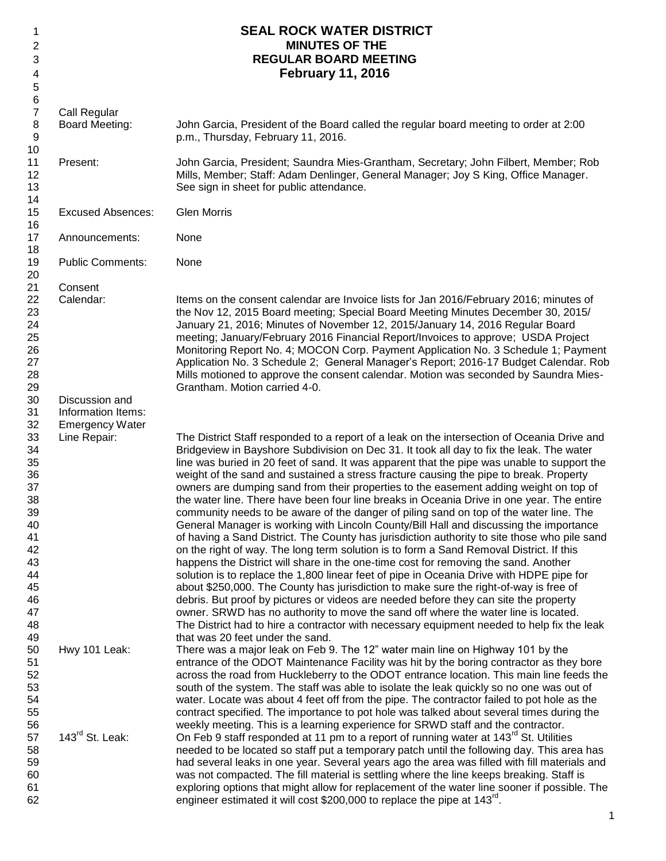| 1              |                          | <b>SEAL ROCK WATER DISTRICT</b>                                                                                                                                    |
|----------------|--------------------------|--------------------------------------------------------------------------------------------------------------------------------------------------------------------|
| 2              |                          | <b>MINUTES OF THE</b>                                                                                                                                              |
| 3              |                          | <b>REGULAR BOARD MEETING</b>                                                                                                                                       |
| 4              |                          | <b>February 11, 2016</b>                                                                                                                                           |
| 5              |                          |                                                                                                                                                                    |
| 6              |                          |                                                                                                                                                                    |
| $\overline{7}$ | Call Regular             |                                                                                                                                                                    |
| 8              | <b>Board Meeting:</b>    |                                                                                                                                                                    |
| 9              |                          | John Garcia, President of the Board called the regular board meeting to order at 2:00                                                                              |
|                |                          | p.m., Thursday, February 11, 2016.                                                                                                                                 |
| 10             |                          |                                                                                                                                                                    |
| 11             | Present:                 | John Garcia, President; Saundra Mies-Grantham, Secretary; John Filbert, Member; Rob                                                                                |
| 12             |                          | Mills, Member; Staff: Adam Denlinger, General Manager; Joy S King, Office Manager.                                                                                 |
| 13             |                          | See sign in sheet for public attendance.                                                                                                                           |
| 14             |                          |                                                                                                                                                                    |
| 15             | <b>Excused Absences:</b> | <b>Glen Morris</b>                                                                                                                                                 |
| 16             |                          |                                                                                                                                                                    |
| 17             | Announcements:           | None                                                                                                                                                               |
| 18             |                          |                                                                                                                                                                    |
| 19             | <b>Public Comments:</b>  | None                                                                                                                                                               |
| 20             |                          |                                                                                                                                                                    |
| 21             | Consent<br>Calendar:     |                                                                                                                                                                    |
| 22<br>23       |                          | Items on the consent calendar are Invoice lists for Jan 2016/February 2016; minutes of                                                                             |
| 24             |                          | the Nov 12, 2015 Board meeting; Special Board Meeting Minutes December 30, 2015/                                                                                   |
| 25             |                          | January 21, 2016; Minutes of November 12, 2015/January 14, 2016 Regular Board<br>meeting; January/February 2016 Financial Report/Invoices to approve; USDA Project |
| 26             |                          | Monitoring Report No. 4; MOCON Corp. Payment Application No. 3 Schedule 1; Payment                                                                                 |
| 27             |                          | Application No. 3 Schedule 2; General Manager's Report; 2016-17 Budget Calendar. Rob                                                                               |
| 28             |                          | Mills motioned to approve the consent calendar. Motion was seconded by Saundra Mies-                                                                               |
| 29             |                          | Grantham. Motion carried 4-0.                                                                                                                                      |
| 30             | Discussion and           |                                                                                                                                                                    |
| 31             | Information Items:       |                                                                                                                                                                    |
| 32             | <b>Emergency Water</b>   |                                                                                                                                                                    |
| 33             | Line Repair:             | The District Staff responded to a report of a leak on the intersection of Oceania Drive and                                                                        |
| 34             |                          | Bridgeview in Bayshore Subdivision on Dec 31. It took all day to fix the leak. The water                                                                           |
| 35             |                          | line was buried in 20 feet of sand. It was apparent that the pipe was unable to support the                                                                        |
| 36             |                          | weight of the sand and sustained a stress fracture causing the pipe to break. Property                                                                             |
| 37             |                          | owners are dumping sand from their properties to the easement adding weight on top of                                                                              |
| 38             |                          | the water line. There have been four line breaks in Oceania Drive in one year. The entire                                                                          |
| 39             |                          | community needs to be aware of the danger of piling sand on top of the water line. The                                                                             |
| 40             |                          | General Manager is working with Lincoln County/Bill Hall and discussing the importance                                                                             |
| 41             |                          | of having a Sand District. The County has jurisdiction authority to site those who pile sand                                                                       |
| 42             |                          | on the right of way. The long term solution is to form a Sand Removal District. If this                                                                            |
| 43             |                          | happens the District will share in the one-time cost for removing the sand. Another                                                                                |
| 44             |                          | solution is to replace the 1,800 linear feet of pipe in Oceania Drive with HDPE pipe for                                                                           |
| 45             |                          | about \$250,000. The County has jurisdiction to make sure the right-of-way is free of                                                                              |
| 46             |                          | debris. But proof by pictures or videos are needed before they can site the property                                                                               |
| 47             |                          | owner. SRWD has no authority to move the sand off where the water line is located.                                                                                 |
| 48             |                          | The District had to hire a contractor with necessary equipment needed to help fix the leak                                                                         |
| 49             |                          | that was 20 feet under the sand.                                                                                                                                   |
| 50             | Hwy 101 Leak:            | There was a major leak on Feb 9. The 12" water main line on Highway 101 by the                                                                                     |
| 51             |                          | entrance of the ODOT Maintenance Facility was hit by the boring contractor as they bore                                                                            |
| 52             |                          | across the road from Huckleberry to the ODOT entrance location. This main line feeds the                                                                           |
| 53             |                          | south of the system. The staff was able to isolate the leak quickly so no one was out of                                                                           |
| 54             |                          | water. Locate was about 4 feet off from the pipe. The contractor failed to pot hole as the                                                                         |
| 55             |                          | contract specified. The importance to pot hole was talked about several times during the                                                                           |
| 56             |                          | weekly meeting. This is a learning experience for SRWD staff and the contractor.                                                                                   |
| 57             | 143rd St. Leak:          | On Feb 9 staff responded at 11 pm to a report of running water at 143 <sup>rd</sup> St. Utilities                                                                  |
| 58             |                          | needed to be located so staff put a temporary patch until the following day. This area has                                                                         |
| 59             |                          | had several leaks in one year. Several years ago the area was filled with fill materials and                                                                       |
| 60             |                          | was not compacted. The fill material is settling where the line keeps breaking. Staff is                                                                           |
| 61             |                          | exploring options that might allow for replacement of the water line sooner if possible. The                                                                       |
| 62             |                          | engineer estimated it will cost \$200,000 to replace the pipe at 143 <sup>rd</sup> .                                                                               |